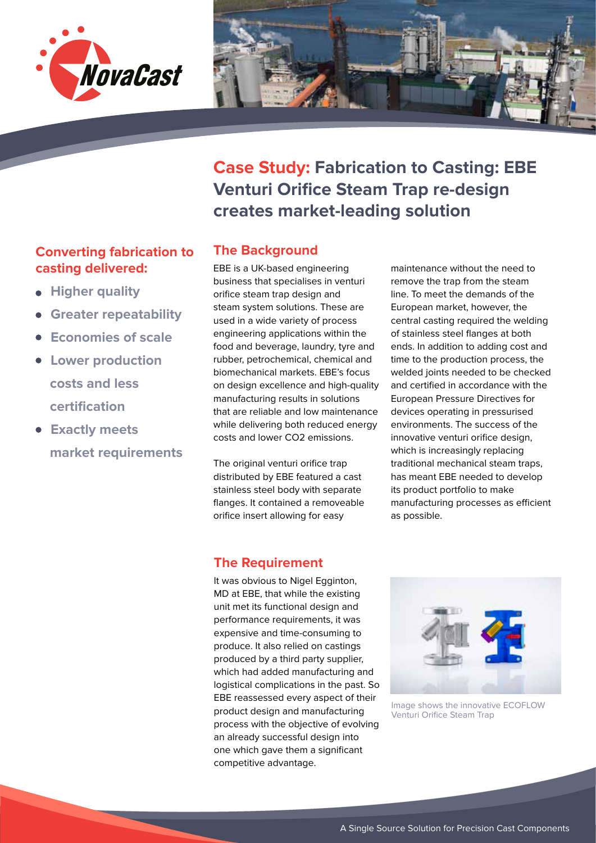



**Case Study: Fabrication to Casting: EBE Venturi Orifice Steam Trap re-design creates market-leading solution**

# **Converting fabrication to The Background casting delivered:**

- **Higher quality**
- **Greater repeatability**
- **Economies of scale**
- **Lower production costs and less certification**
- **Exactly meets market requirements**

EBE is a UK-based engineering business that specialises in venturi orifice steam trap design and steam system solutions. These are used in a wide variety of process engineering applications within the food and beverage, laundry, tyre and rubber, petrochemical, chemical and biomechanical markets. EBE's focus on design excellence and high-quality manufacturing results in solutions that are reliable and low maintenance while delivering both reduced energy costs and lower CO2 emissions.

The original venturi orifice trap distributed by EBE featured a cast stainless steel body with separate flanges. It contained a removeable orifice insert allowing for easy

maintenance without the need to remove the trap from the steam line. To meet the demands of the European market, however, the central casting required the welding of stainless steel flanges at both ends. In addition to adding cost and time to the production process, the welded joints needed to be checked and certified in accordance with the European Pressure Directives for devices operating in pressurised environments. The success of the innovative venturi orifice design, which is increasingly replacing traditional mechanical steam traps, has meant EBE needed to develop its product portfolio to make manufacturing processes as efficient as possible.

## **The Requirement**

It was obvious to Nigel Egginton, MD at EBE, that while the existing unit met its functional design and performance requirements, it was expensive and time-consuming to produce. It also relied on castings produced by a third party supplier, which had added manufacturing and logistical complications in the past. So EBE reassessed every aspect of their product design and manufacturing process with the objective of evolving an already successful design into one which gave them a significant competitive advantage.



Image shows the innovative ECOFLOW Venturi Orifice Steam Trap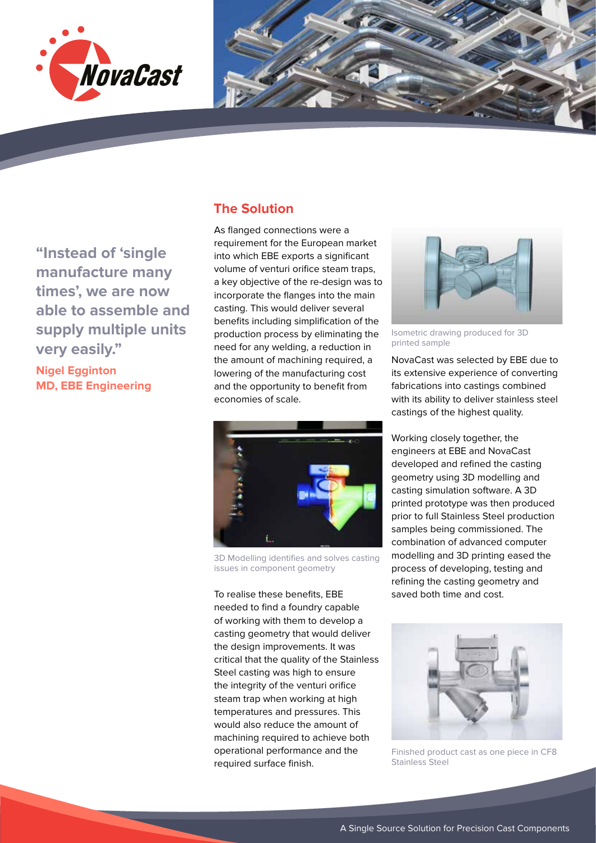



**The Solution**

**"Instead of 'single manufacture many times', we are now able to assemble and supply multiple units very easily."**

**Nigel Egginton MD, EBE Engineering**

### As flanged connections were a requirement for the European market into which EBE exports a significant volume of venturi orifice steam traps, a key objective of the re-design was to incorporate the flanges into the main casting. This would deliver several benefits including simplification of the production process by eliminating the need for any welding, a reduction in the amount of machining required, a lowering of the manufacturing cost

and the opportunity to benefit from

economies of scale.



3D Modelling identifies and solves casting issues in component geometry

To realise these benefits, EBE needed to find a foundry capable of working with them to develop a casting geometry that would deliver the design improvements. It was critical that the quality of the Stainless Steel casting was high to ensure the integrity of the venturi orifice steam trap when working at high temperatures and pressures. This would also reduce the amount of machining required to achieve both operational performance and the required surface finish.



Isometric drawing produced for 3D printed sample

NovaCast was selected by EBE due to its extensive experience of converting fabrications into castings combined with its ability to deliver stainless steel castings of the highest quality.

Working closely together, the engineers at EBE and NovaCast developed and refined the casting geometry using 3D modelling and casting simulation software. A 3D printed prototype was then produced prior to full Stainless Steel production samples being commissioned. The combination of advanced computer modelling and 3D printing eased the process of developing, testing and refining the casting geometry and saved both time and cost.



Finished product cast as one piece in CF8 Stainless Steel